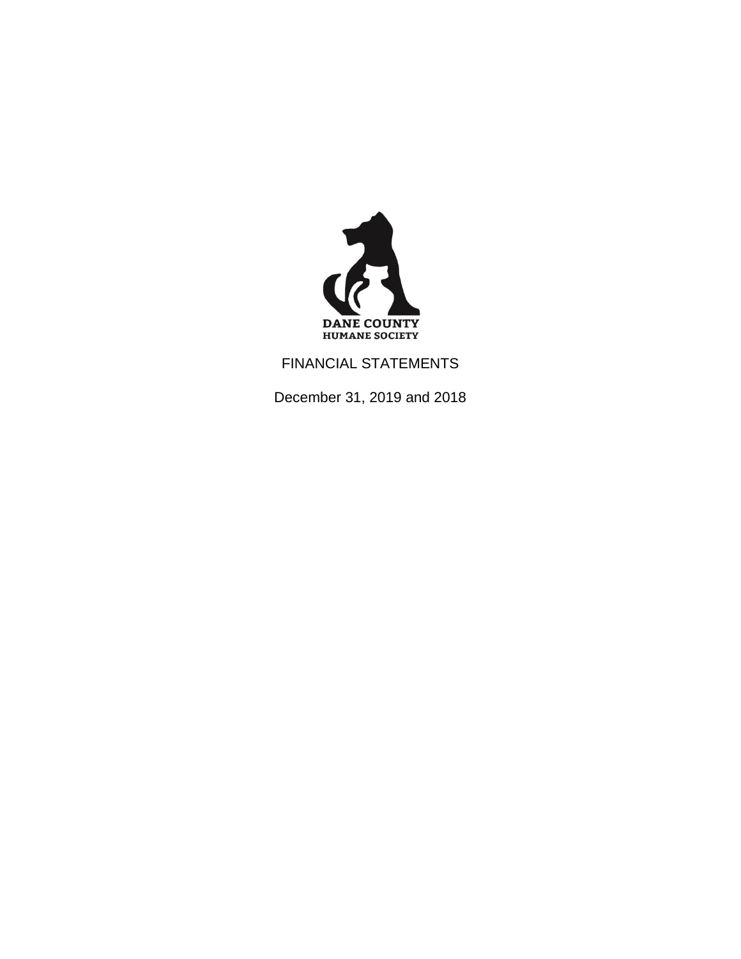

FINANCIAL STATEMENTS

December 31, 2019 and 2018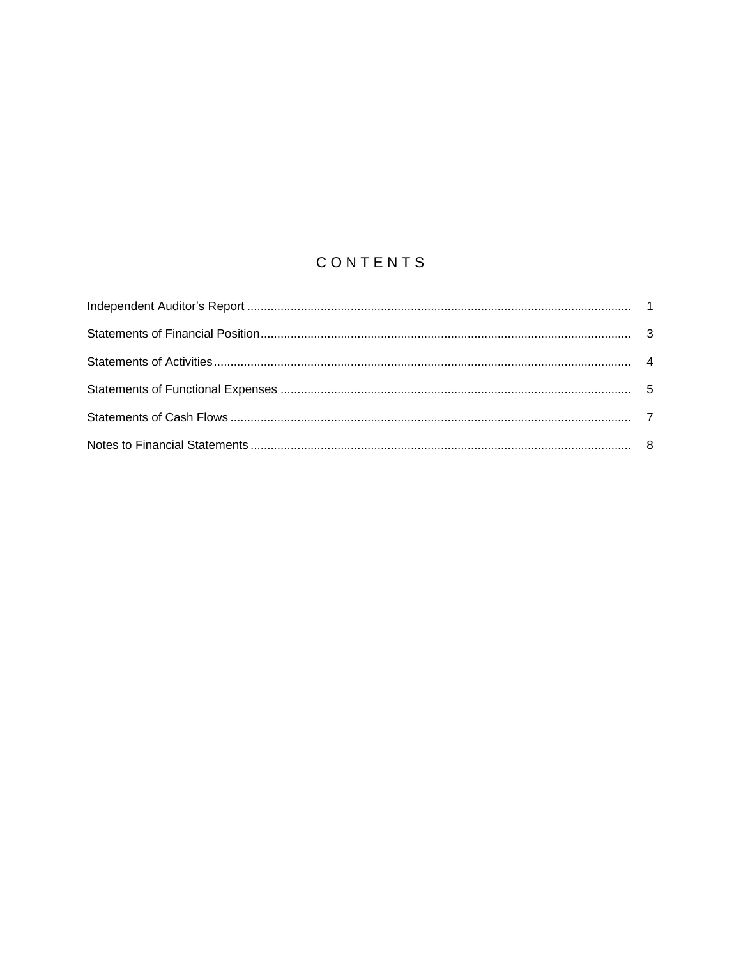# CONTENTS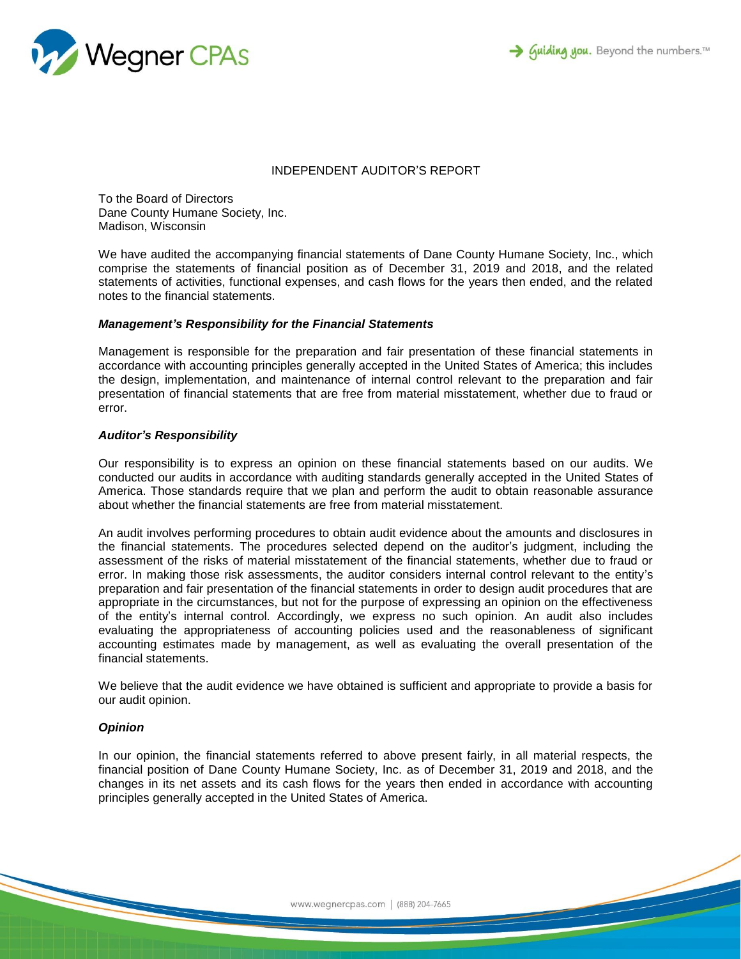



#### INDEPENDENT AUDITOR'S REPORT

To the Board of Directors Dane County Humane Society, Inc. Madison, Wisconsin

We have audited the accompanying financial statements of Dane County Humane Society, Inc., which comprise the statements of financial position as of December 31, 2019 and 2018, and the related statements of activities, functional expenses, and cash flows for the years then ended, and the related notes to the financial statements.

#### *Management's Responsibility for the Financial Statements*

Management is responsible for the preparation and fair presentation of these financial statements in accordance with accounting principles generally accepted in the United States of America; this includes the design, implementation, and maintenance of internal control relevant to the preparation and fair presentation of financial statements that are free from material misstatement, whether due to fraud or error.

## *Auditor's Responsibility*

Our responsibility is to express an opinion on these financial statements based on our audits. We conducted our audits in accordance with auditing standards generally accepted in the United States of America. Those standards require that we plan and perform the audit to obtain reasonable assurance about whether the financial statements are free from material misstatement.

An audit involves performing procedures to obtain audit evidence about the amounts and disclosures in the financial statements. The procedures selected depend on the auditor's judgment, including the assessment of the risks of material misstatement of the financial statements, whether due to fraud or error. In making those risk assessments, the auditor considers internal control relevant to the entity's preparation and fair presentation of the financial statements in order to design audit procedures that are appropriate in the circumstances, but not for the purpose of expressing an opinion on the effectiveness of the entity's internal control. Accordingly, we express no such opinion. An audit also includes evaluating the appropriateness of accounting policies used and the reasonableness of significant accounting estimates made by management, as well as evaluating the overall presentation of the financial statements.

We believe that the audit evidence we have obtained is sufficient and appropriate to provide a basis for our audit opinion.

## *Opinion*

In our opinion, the financial statements referred to above present fairly, in all material respects, the financial position of Dane County Humane Society, Inc. as of December 31, 2019 and 2018, and the changes in its net assets and its cash flows for the years then ended in accordance with accounting principles generally accepted in the United States of America.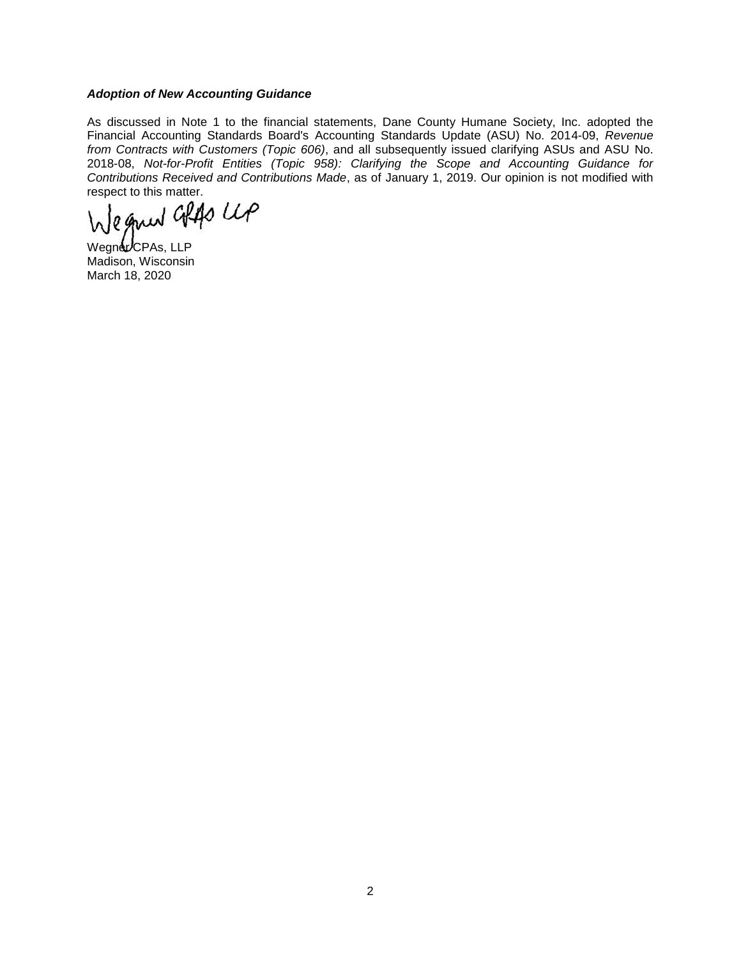## *Adoption of New Accounting Guidance*

As discussed in Note 1 to the financial statements, Dane County Humane Society, Inc. adopted the Financial Accounting Standards Board's Accounting Standards Update (ASU) No. 2014-09, *Revenue from Contracts with Customers (Topic 606)*, and all subsequently issued clarifying ASUs and ASU No. 2018-08, *Not-for-Profit Entities (Topic 958): Clarifying the Scope and Accounting Guidance for Contributions Received and Contributions Made*, as of January 1, 2019. Our opinion is not modified with

respect to this matter.<br>We given after the

Wegner CPAs, LLP Madison, Wisconsin March 18, 2020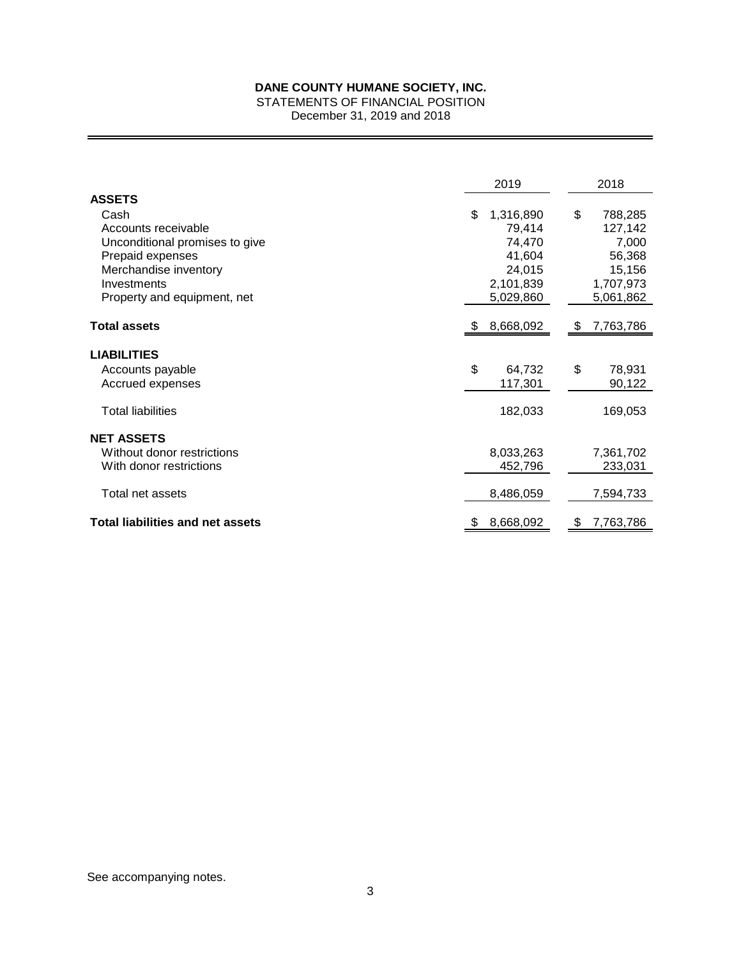STATEMENTS OF FINANCIAL POSITION

December 31, 2019 and 2018

|                                         | 2019            | 2018             |
|-----------------------------------------|-----------------|------------------|
| <b>ASSETS</b>                           |                 |                  |
| Cash                                    | 1,316,890<br>\$ | \$<br>788,285    |
| Accounts receivable                     | 79,414          | 127,142          |
| Unconditional promises to give          | 74,470          | 7,000            |
| Prepaid expenses                        | 41,604          | 56,368           |
| Merchandise inventory                   | 24,015          | 15,156           |
| Investments                             | 2,101,839       | 1,707,973        |
| Property and equipment, net             | 5,029,860       | 5,061,862        |
| <b>Total assets</b>                     | 8,668,092<br>£. | 7,763,786<br>\$. |
| <b>LIABILITIES</b>                      |                 |                  |
| Accounts payable                        | \$<br>64,732    | \$<br>78,931     |
| Accrued expenses                        | 117,301         | 90,122           |
| <b>Total liabilities</b>                | 182,033         | 169,053          |
| <b>NET ASSETS</b>                       |                 |                  |
| Without donor restrictions              | 8,033,263       | 7,361,702        |
| With donor restrictions                 | 452,796         | 233,031          |
| Total net assets                        | 8,486,059       | 7,594,733        |
| <b>Total liabilities and net assets</b> | 8,668,092<br>\$ | 7,763,786<br>\$  |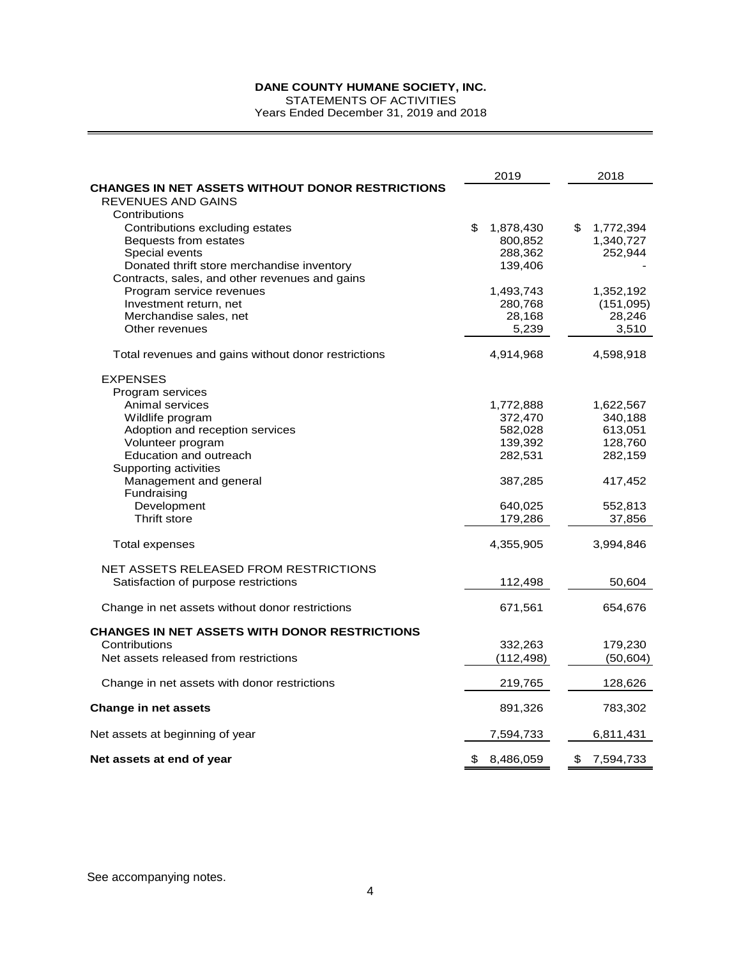STATEMENTS OF ACTIVITIES

Years Ended December 31, 2019 and 2018

|                                                         | 2019               | 2018               |
|---------------------------------------------------------|--------------------|--------------------|
| <b>CHANGES IN NET ASSETS WITHOUT DONOR RESTRICTIONS</b> |                    |                    |
| REVENUES AND GAINS<br>Contributions                     |                    |                    |
| Contributions excluding estates                         | \$<br>1,878,430    | \$<br>1,772,394    |
| Bequests from estates                                   | 800,852            | 1,340,727          |
| Special events                                          | 288,362            | 252,944            |
| Donated thrift store merchandise inventory              | 139,406            |                    |
| Contracts, sales, and other revenues and gains          |                    |                    |
| Program service revenues                                | 1,493,743          | 1,352,192          |
| Investment return, net                                  | 280,768            | (151,095)          |
| Merchandise sales, net                                  | 28,168             | 28,246             |
| Other revenues                                          | 5,239              | 3,510              |
| Total revenues and gains without donor restrictions     | 4,914,968          | 4,598,918          |
| <b>EXPENSES</b>                                         |                    |                    |
| Program services                                        |                    |                    |
| Animal services                                         | 1,772,888          | 1,622,567          |
| Wildlife program                                        | 372,470            | 340,188            |
| Adoption and reception services                         | 582,028            | 613,051            |
| Volunteer program<br>Education and outreach             | 139,392<br>282,531 | 128,760<br>282,159 |
| Supporting activities                                   |                    |                    |
| Management and general                                  | 387,285            | 417,452            |
| Fundraising                                             |                    |                    |
| Development                                             | 640,025            | 552,813            |
| Thrift store                                            | 179,286            | 37,856             |
| Total expenses                                          | 4,355,905          | 3,994,846          |
| NET ASSETS RELEASED FROM RESTRICTIONS                   |                    |                    |
| Satisfaction of purpose restrictions                    | 112,498            | 50,604             |
| Change in net assets without donor restrictions         | 671,561            | 654,676            |
| <b>CHANGES IN NET ASSETS WITH DONOR RESTRICTIONS</b>    |                    |                    |
| Contributions                                           | 332,263            | 179,230            |
| Net assets released from restrictions                   | (112, 498)         | (50, 604)          |
| Change in net assets with donor restrictions            | 219,765            | 128,626            |
| <b>Change in net assets</b>                             | 891,326            | 783,302            |
| Net assets at beginning of year                         | 7,594,733          | 6,811,431          |
| Net assets at end of year                               | \$<br>8,486,059    | \$<br>7,594,733    |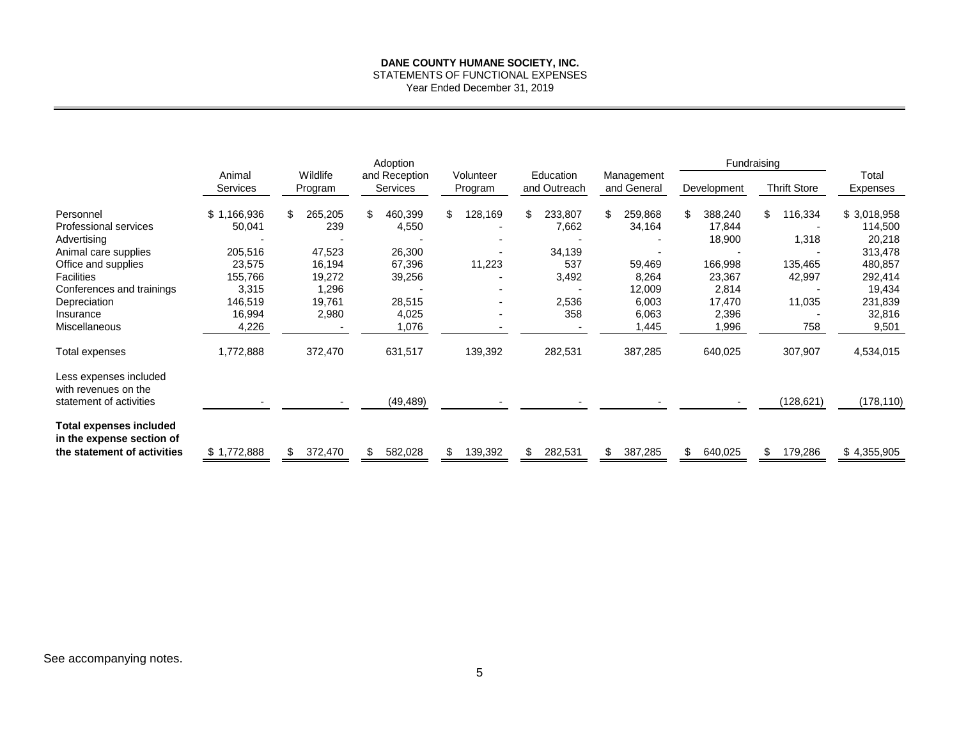STATEMENTS OF FUNCTIONAL EXPENSES

Year Ended December 31, 2019

|                                                                           | Adoption                  |                     |                           |                      | Fundraising               |                           |               |                     |                   |
|---------------------------------------------------------------------------|---------------------------|---------------------|---------------------------|----------------------|---------------------------|---------------------------|---------------|---------------------|-------------------|
|                                                                           | Animal<br><b>Services</b> | Wildlife<br>Program | and Reception<br>Services | Volunteer<br>Program | Education<br>and Outreach | Management<br>and General | Development   | <b>Thrift Store</b> | Total<br>Expenses |
| Personnel                                                                 | \$1,166,936               | 265,205<br>\$.      | \$<br>460,399             | \$<br>28,169         | \$<br>233,807             | \$<br>259,868             | \$<br>388,240 | \$<br>116,334       | \$3,018,958       |
| Professional services                                                     | 50,041                    | 239                 | 4,550                     |                      | 7,662                     | 34,164                    | 17,844        |                     | 114,500           |
| Advertising                                                               |                           |                     |                           |                      |                           |                           | 18,900        | 1,318               | 20,218            |
| Animal care supplies                                                      | 205,516                   | 47,523              | 26,300                    |                      | 34,139                    |                           |               |                     | 313,478           |
| Office and supplies                                                       | 23,575                    | 16,194              | 67,396                    | 11,223               | 537                       | 59,469                    | 166,998       | 135,465             | 480,857           |
| <b>Facilities</b>                                                         | 155,766                   | 19,272              | 39,256                    |                      | 3,492                     | 8,264                     | 23,367        | 42,997              | 292,414           |
| Conferences and trainings                                                 | 3,315                     | 1,296               |                           |                      |                           | 12,009                    | 2,814         |                     | 19,434            |
| Depreciation                                                              | 146,519                   | 19,761              | 28,515                    |                      | 2,536                     | 6,003                     | 17,470        | 11,035              | 231,839           |
| Insurance                                                                 | 16,994                    | 2,980               | 4,025                     |                      | 358                       | 6,063                     | 2,396         |                     | 32,816            |
| <b>Miscellaneous</b>                                                      | 4,226                     |                     | 1,076                     |                      |                           | 1,445                     | 1,996         | 758                 | 9,501             |
| Total expenses                                                            | 1,772,888                 | 372,470             | 631,517                   | 139,392              | 282,531                   | 387,285                   | 640,025       | 307,907             | 4,534,015         |
| Less expenses included<br>with revenues on the<br>statement of activities |                           |                     | (49, 489)                 |                      |                           |                           |               | (128, 621)          | (178, 110)        |
|                                                                           |                           |                     |                           |                      |                           |                           |               |                     |                   |
| <b>Total expenses included</b><br>in the expense section of               |                           |                     |                           |                      |                           |                           |               |                     |                   |
| the statement of activities                                               | \$1,772,888               | 372,470             | 582,028                   | 139,392<br>\$.       | 282,531                   | 387,285<br>\$             | \$<br>640,025 | \$<br>179,286       | \$4,355,905       |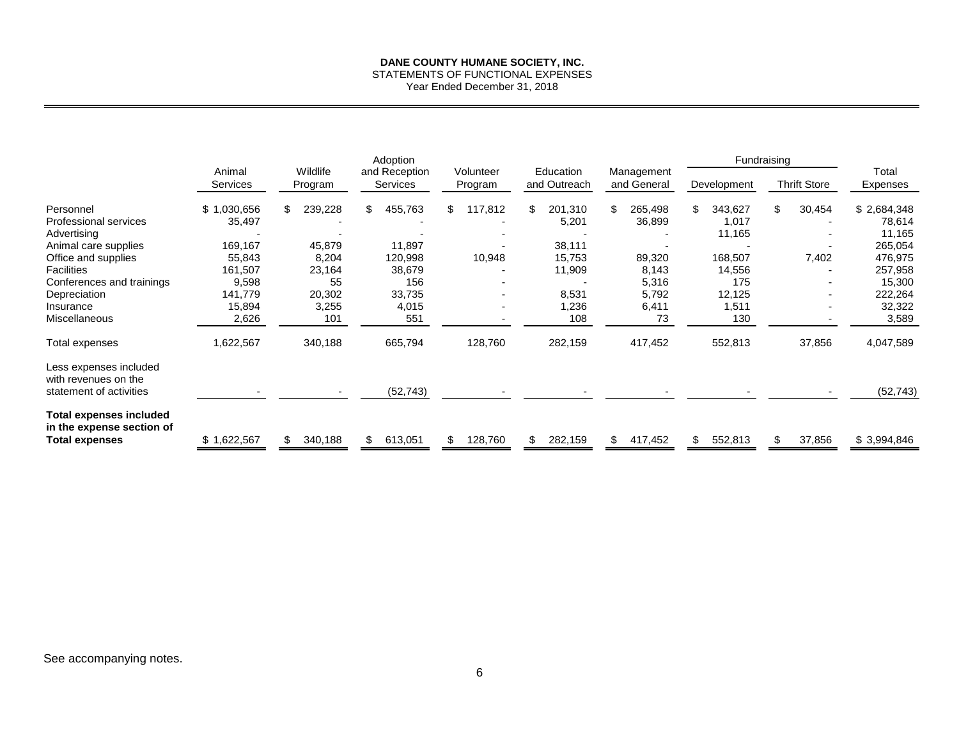STATEMENTS OF FUNCTIONAL EXPENSES

Year Ended December 31, 2018

|                                                             |                           |                     | Adoption                         |                      |                           |                           | Fundraising    |                     |                   |
|-------------------------------------------------------------|---------------------------|---------------------|----------------------------------|----------------------|---------------------------|---------------------------|----------------|---------------------|-------------------|
|                                                             | Animal<br><b>Services</b> | Wildlife<br>Program | and Reception<br><b>Services</b> | Volunteer<br>Program | Education<br>and Outreach | Management<br>and General | Development    | <b>Thrift Store</b> | Total<br>Expenses |
| Personnel                                                   | \$1,030,656               | 239,228<br>\$.      | 455,763<br>\$                    | 117,812<br>\$        | \$<br>201,310             | 265,498<br>S              | \$<br>343,627  | \$<br>30,454        | \$2,684,348       |
| Professional services                                       | 35,497                    |                     |                                  |                      | 5,201                     | 36,899                    | 1,017          |                     | 78,614            |
| Advertising                                                 |                           |                     |                                  |                      |                           |                           | 11,165         |                     | 11,165            |
| Animal care supplies                                        | 169,167                   | 45,879              | 11,897                           |                      | 38,111                    |                           |                |                     | 265,054           |
| Office and supplies                                         | 55,843                    | 8,204               | 120,998                          | 10,948               | 15,753                    | 89,320                    | 168,507        | 7,402               | 476,975           |
| <b>Facilities</b>                                           | 161,507                   | 23,164              | 38,679                           |                      | 11,909                    | 8,143                     | 14,556         |                     | 257,958           |
| Conferences and trainings                                   | 9,598                     | 55                  | 156                              |                      |                           | 5,316                     | 175            |                     | 15,300            |
| Depreciation                                                | 141,779                   | 20,302              | 33,735                           |                      | 8,531                     | 5,792                     | 12,125         |                     | 222,264           |
| Insurance                                                   | 15,894                    | 3,255               | 4,015                            |                      | 1,236                     | 6,411                     | 1,511          |                     | 32,322            |
| Miscellaneous                                               | 2,626                     | 101                 | 551                              |                      | 108                       | 73                        | 130            |                     | 3,589             |
| Total expenses                                              | 1,622,567                 | 340,188             | 665,794                          | 128,760              | 282,159                   | 417,452                   | 552,813        | 37,856              | 4,047,589         |
| Less expenses included<br>with revenues on the              |                           |                     |                                  |                      |                           |                           |                |                     |                   |
| statement of activities                                     |                           |                     | (52, 743)                        |                      |                           |                           |                |                     | (52, 743)         |
| <b>Total expenses included</b><br>in the expense section of |                           |                     |                                  |                      |                           |                           |                |                     |                   |
| Total expenses                                              | \$1,622,567               | 340,188             | 613,051<br>\$.                   | 128,760              | 282,159<br>\$.            | 417,452<br>\$.            | 552,813<br>\$. | 37,856              | \$3,994,846       |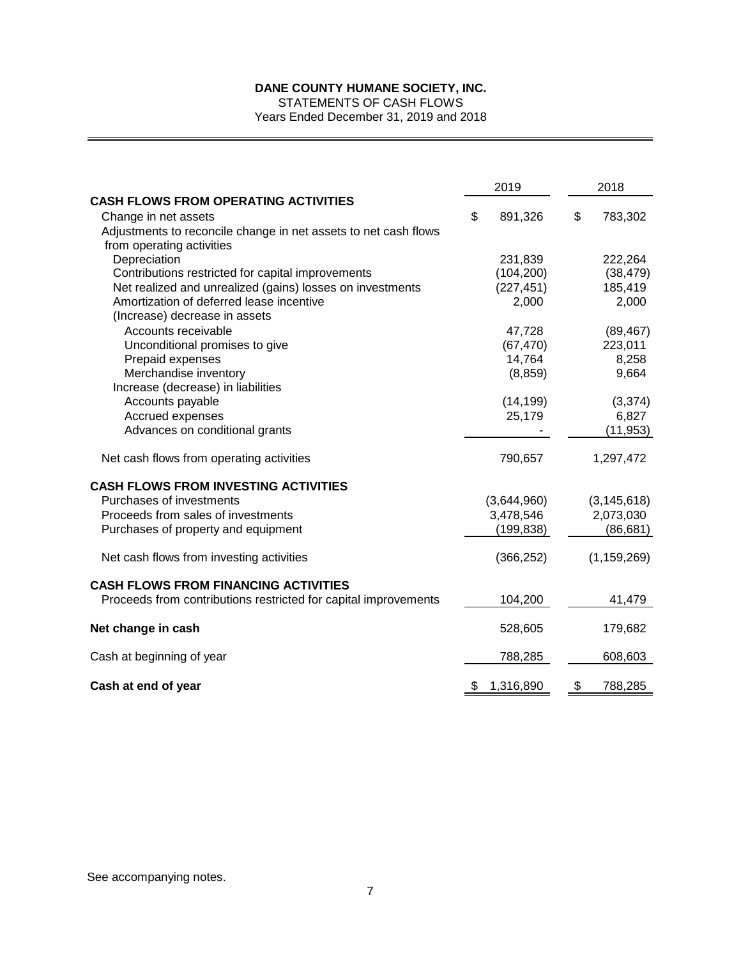STATEMENTS OF CASH FLOWS

Years Ended December 31, 2019 and 2018

|                                                                 | 2019            |    | 2018          |
|-----------------------------------------------------------------|-----------------|----|---------------|
| <b>CASH FLOWS FROM OPERATING ACTIVITIES</b>                     |                 |    |               |
| Change in net assets                                            | \$<br>891,326   | \$ | 783,302       |
| Adjustments to reconcile change in net assets to net cash flows |                 |    |               |
| from operating activities                                       |                 |    |               |
| Depreciation                                                    | 231,839         |    | 222,264       |
| Contributions restricted for capital improvements               | (104, 200)      |    | (38, 479)     |
| Net realized and unrealized (gains) losses on investments       | (227, 451)      |    | 185,419       |
| Amortization of deferred lease incentive                        | 2,000           |    | 2,000         |
| (Increase) decrease in assets                                   |                 |    |               |
| Accounts receivable                                             | 47,728          |    | (89, 467)     |
| Unconditional promises to give                                  | (67, 470)       |    | 223,011       |
| Prepaid expenses                                                | 14,764          |    | 8,258         |
| Merchandise inventory                                           | (8, 859)        |    | 9,664         |
| Increase (decrease) in liabilities                              |                 |    |               |
| Accounts payable                                                | (14, 199)       |    | (3, 374)      |
| Accrued expenses                                                | 25,179          |    | 6,827         |
| Advances on conditional grants                                  |                 |    | (11, 953)     |
| Net cash flows from operating activities                        | 790,657         |    | 1,297,472     |
| <b>CASH FLOWS FROM INVESTING ACTIVITIES</b>                     |                 |    |               |
| Purchases of investments                                        | (3,644,960)     |    | (3, 145, 618) |
| Proceeds from sales of investments                              | 3,478,546       |    | 2,073,030     |
| Purchases of property and equipment                             | (199, 838)      |    | (86, 681)     |
| Net cash flows from investing activities                        | (366, 252)      |    | (1, 159, 269) |
| <b>CASH FLOWS FROM FINANCING ACTIVITIES</b>                     |                 |    |               |
| Proceeds from contributions restricted for capital improvements | 104,200         |    | 41,479        |
| Net change in cash                                              | 528,605         |    | 179,682       |
| Cash at beginning of year                                       | 788,285         |    | 608,603       |
| Cash at end of year                                             | \$<br>1,316,890 | \$ | 788,285       |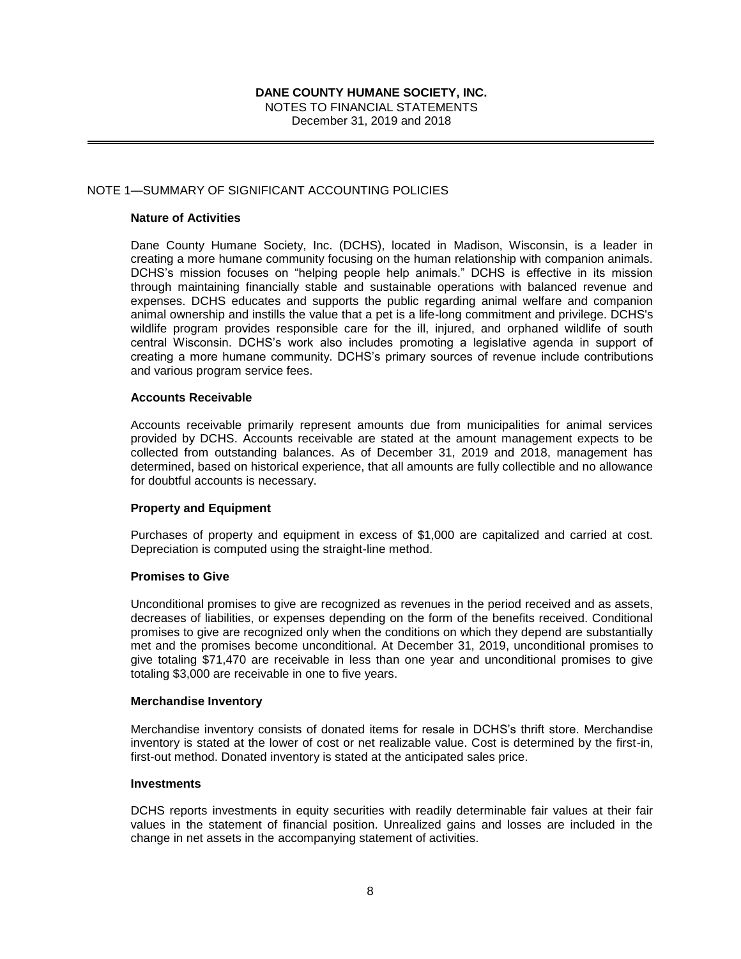NOTES TO FINANCIAL STATEMENTS December 31, 2019 and 2018

## NOTE 1—SUMMARY OF SIGNIFICANT ACCOUNTING POLICIES

#### **Nature of Activities**

Dane County Humane Society, Inc. (DCHS), located in Madison, Wisconsin, is a leader in creating a more humane community focusing on the human relationship with companion animals. DCHS's mission focuses on "helping people help animals." DCHS is effective in its mission through maintaining financially stable and sustainable operations with balanced revenue and expenses. DCHS educates and supports the public regarding animal welfare and companion animal ownership and instills the value that a pet is a life-long commitment and privilege. DCHS's wildlife program provides responsible care for the ill, injured, and orphaned wildlife of south central Wisconsin. DCHS's work also includes promoting a legislative agenda in support of creating a more humane community. DCHS's primary sources of revenue include contributions and various program service fees.

#### **Accounts Receivable**

Accounts receivable primarily represent amounts due from municipalities for animal services provided by DCHS. Accounts receivable are stated at the amount management expects to be collected from outstanding balances. As of December 31, 2019 and 2018, management has determined, based on historical experience, that all amounts are fully collectible and no allowance for doubtful accounts is necessary.

#### **Property and Equipment**

Purchases of property and equipment in excess of \$1,000 are capitalized and carried at cost. Depreciation is computed using the straight-line method.

#### **Promises to Give**

Unconditional promises to give are recognized as revenues in the period received and as assets, decreases of liabilities, or expenses depending on the form of the benefits received. Conditional promises to give are recognized only when the conditions on which they depend are substantially met and the promises become unconditional. At December 31, 2019, unconditional promises to give totaling \$71,470 are receivable in less than one year and unconditional promises to give totaling \$3,000 are receivable in one to five years.

#### **Merchandise Inventory**

Merchandise inventory consists of donated items for resale in DCHS's thrift store. Merchandise inventory is stated at the lower of cost or net realizable value. Cost is determined by the first-in, first-out method. Donated inventory is stated at the anticipated sales price.

#### **Investments**

DCHS reports investments in equity securities with readily determinable fair values at their fair values in the statement of financial position. Unrealized gains and losses are included in the change in net assets in the accompanying statement of activities.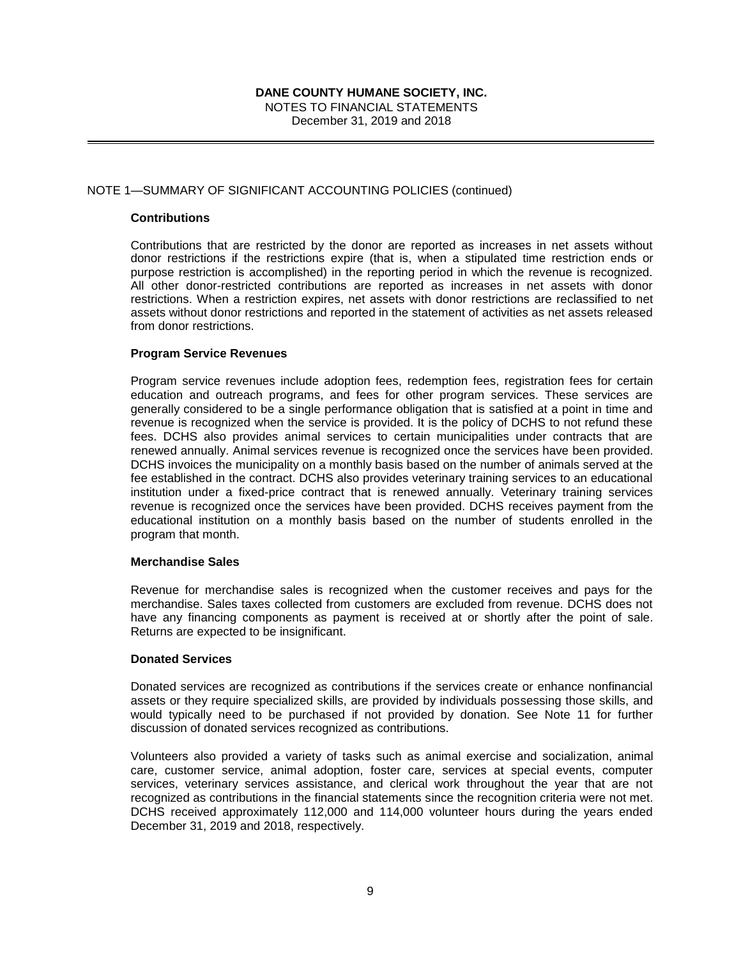NOTES TO FINANCIAL STATEMENTS December 31, 2019 and 2018

## NOTE 1—SUMMARY OF SIGNIFICANT ACCOUNTING POLICIES (continued)

#### **Contributions**

Contributions that are restricted by the donor are reported as increases in net assets without donor restrictions if the restrictions expire (that is, when a stipulated time restriction ends or purpose restriction is accomplished) in the reporting period in which the revenue is recognized. All other donor-restricted contributions are reported as increases in net assets with donor restrictions. When a restriction expires, net assets with donor restrictions are reclassified to net assets without donor restrictions and reported in the statement of activities as net assets released from donor restrictions.

## **Program Service Revenues**

Program service revenues include adoption fees, redemption fees, registration fees for certain education and outreach programs, and fees for other program services. These services are generally considered to be a single performance obligation that is satisfied at a point in time and revenue is recognized when the service is provided. It is the policy of DCHS to not refund these fees. DCHS also provides animal services to certain municipalities under contracts that are renewed annually. Animal services revenue is recognized once the services have been provided. DCHS invoices the municipality on a monthly basis based on the number of animals served at the fee established in the contract. DCHS also provides veterinary training services to an educational institution under a fixed-price contract that is renewed annually. Veterinary training services revenue is recognized once the services have been provided. DCHS receives payment from the educational institution on a monthly basis based on the number of students enrolled in the program that month.

#### **Merchandise Sales**

Revenue for merchandise sales is recognized when the customer receives and pays for the merchandise. Sales taxes collected from customers are excluded from revenue. DCHS does not have any financing components as payment is received at or shortly after the point of sale. Returns are expected to be insignificant.

## **Donated Services**

Donated services are recognized as contributions if the services create or enhance nonfinancial assets or they require specialized skills, are provided by individuals possessing those skills, and would typically need to be purchased if not provided by donation. See Note 11 for further discussion of donated services recognized as contributions.

Volunteers also provided a variety of tasks such as animal exercise and socialization, animal care, customer service, animal adoption, foster care, services at special events, computer services, veterinary services assistance, and clerical work throughout the year that are not recognized as contributions in the financial statements since the recognition criteria were not met. DCHS received approximately 112,000 and 114,000 volunteer hours during the years ended December 31, 2019 and 2018, respectively.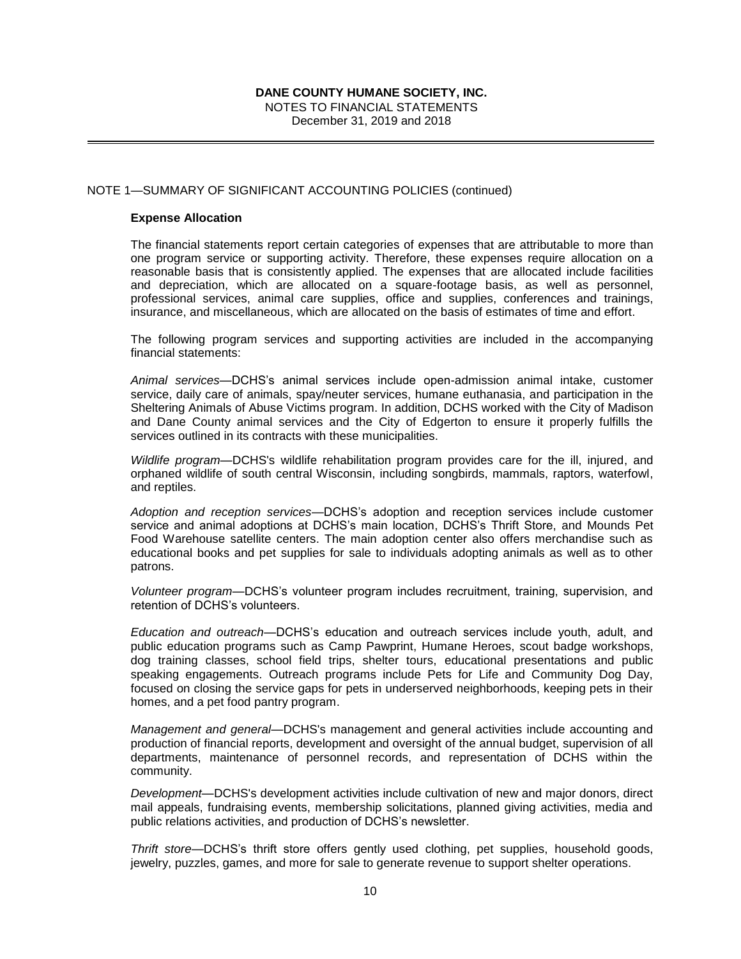NOTES TO FINANCIAL STATEMENTS December 31, 2019 and 2018

## NOTE 1—SUMMARY OF SIGNIFICANT ACCOUNTING POLICIES (continued)

#### **Expense Allocation**

The financial statements report certain categories of expenses that are attributable to more than one program service or supporting activity. Therefore, these expenses require allocation on a reasonable basis that is consistently applied. The expenses that are allocated include facilities and depreciation, which are allocated on a square-footage basis, as well as personnel, professional services, animal care supplies, office and supplies, conferences and trainings, insurance, and miscellaneous, which are allocated on the basis of estimates of time and effort.

The following program services and supporting activities are included in the accompanying financial statements:

*Animal services—*DCHS's animal services include open-admission animal intake, customer service, daily care of animals, spay/neuter services, humane euthanasia, and participation in the Sheltering Animals of Abuse Victims program. In addition, DCHS worked with the City of Madison and Dane County animal services and the City of Edgerton to ensure it properly fulfills the services outlined in its contracts with these municipalities.

*Wildlife program*—DCHS's wildlife rehabilitation program provides care for the ill, injured, and orphaned wildlife of south central Wisconsin, including songbirds, mammals, raptors, waterfowl, and reptiles.

*Adoption and reception services—*DCHS's adoption and reception services include customer service and animal adoptions at DCHS's main location, DCHS's Thrift Store, and Mounds Pet Food Warehouse satellite centers. The main adoption center also offers merchandise such as educational books and pet supplies for sale to individuals adopting animals as well as to other patrons.

*Volunteer program*—DCHS's volunteer program includes recruitment, training, supervision, and retention of DCHS's volunteers.

*Education and outreach*—DCHS's education and outreach services include youth, adult, and public education programs such as Camp Pawprint, Humane Heroes, scout badge workshops, dog training classes, school field trips, shelter tours, educational presentations and public speaking engagements. Outreach programs include Pets for Life and Community Dog Day, focused on closing the service gaps for pets in underserved neighborhoods, keeping pets in their homes, and a pet food pantry program.

*Management and general*—DCHS's management and general activities include accounting and production of financial reports, development and oversight of the annual budget, supervision of all departments, maintenance of personnel records, and representation of DCHS within the community.

*Development*—DCHS's development activities include cultivation of new and major donors, direct mail appeals, fundraising events, membership solicitations, planned giving activities, media and public relations activities, and production of DCHS's newsletter.

*Thrift store*—DCHS's thrift store offers gently used clothing, pet supplies, household goods, jewelry, puzzles, games, and more for sale to generate revenue to support shelter operations.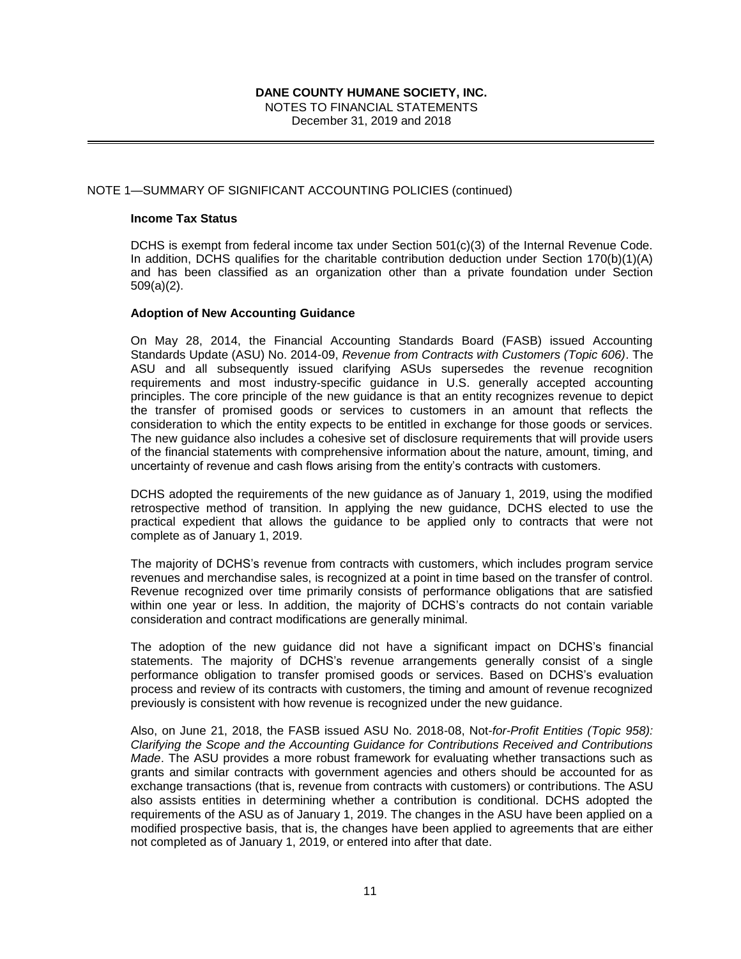NOTES TO FINANCIAL STATEMENTS December 31, 2019 and 2018

## NOTE 1—SUMMARY OF SIGNIFICANT ACCOUNTING POLICIES (continued)

#### **Income Tax Status**

DCHS is exempt from federal income tax under Section 501(c)(3) of the Internal Revenue Code. In addition, DCHS qualifies for the charitable contribution deduction under Section 170(b)(1)(A) and has been classified as an organization other than a private foundation under Section 509(a)(2).

#### **Adoption of New Accounting Guidance**

On May 28, 2014, the Financial Accounting Standards Board (FASB) issued Accounting Standards Update (ASU) No. 2014-09, *Revenue from Contracts with Customers (Topic 606)*. The ASU and all subsequently issued clarifying ASUs supersedes the revenue recognition requirements and most industry-specific guidance in U.S. generally accepted accounting principles. The core principle of the new guidance is that an entity recognizes revenue to depict the transfer of promised goods or services to customers in an amount that reflects the consideration to which the entity expects to be entitled in exchange for those goods or services. The new guidance also includes a cohesive set of disclosure requirements that will provide users of the financial statements with comprehensive information about the nature, amount, timing, and uncertainty of revenue and cash flows arising from the entity's contracts with customers.

DCHS adopted the requirements of the new guidance as of January 1, 2019, using the modified retrospective method of transition. In applying the new guidance, DCHS elected to use the practical expedient that allows the guidance to be applied only to contracts that were not complete as of January 1, 2019.

The majority of DCHS's revenue from contracts with customers, which includes program service revenues and merchandise sales, is recognized at a point in time based on the transfer of control. Revenue recognized over time primarily consists of performance obligations that are satisfied within one year or less. In addition, the majority of DCHS's contracts do not contain variable consideration and contract modifications are generally minimal.

The adoption of the new guidance did not have a significant impact on DCHS's financial statements. The majority of DCHS's revenue arrangements generally consist of a single performance obligation to transfer promised goods or services. Based on DCHS's evaluation process and review of its contracts with customers, the timing and amount of revenue recognized previously is consistent with how revenue is recognized under the new guidance.

Also, on June 21, 2018, the FASB issued ASU No. 2018-08, Not*-for-Profit Entities (Topic 958): Clarifying the Scope and the Accounting Guidance for Contributions Received and Contributions Made*. The ASU provides a more robust framework for evaluating whether transactions such as grants and similar contracts with government agencies and others should be accounted for as exchange transactions (that is, revenue from contracts with customers) or contributions. The ASU also assists entities in determining whether a contribution is conditional. DCHS adopted the requirements of the ASU as of January 1, 2019. The changes in the ASU have been applied on a modified prospective basis, that is, the changes have been applied to agreements that are either not completed as of January 1, 2019, or entered into after that date.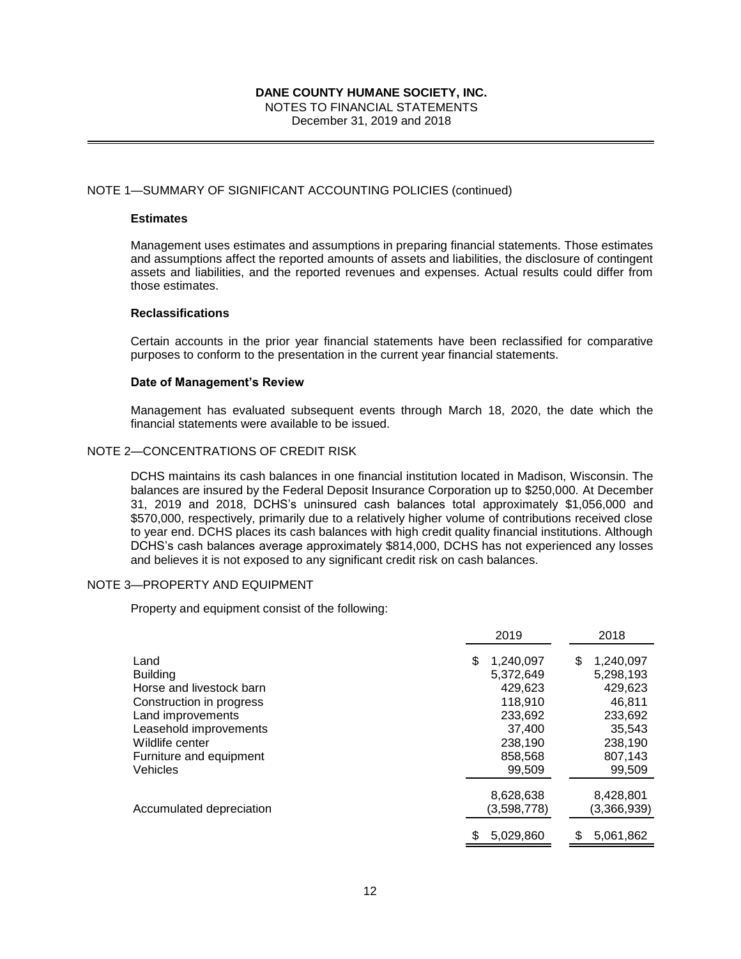NOTES TO FINANCIAL STATEMENTS December 31, 2019 and 2018

#### NOTE 1—SUMMARY OF SIGNIFICANT ACCOUNTING POLICIES (continued)

## **Estimates**

Management uses estimates and assumptions in preparing financial statements. Those estimates and assumptions affect the reported amounts of assets and liabilities, the disclosure of contingent assets and liabilities, and the reported revenues and expenses. Actual results could differ from those estimates.

#### **Reclassifications**

Certain accounts in the prior year financial statements have been reclassified for comparative purposes to conform to the presentation in the current year financial statements.

#### **Date of Management's Review**

Management has evaluated subsequent events through March 18, 2020, the date which the financial statements were available to be issued.

#### NOTE 2—CONCENTRATIONS OF CREDIT RISK

DCHS maintains its cash balances in one financial institution located in Madison, Wisconsin. The balances are insured by the Federal Deposit Insurance Corporation up to \$250,000. At December 31, 2019 and 2018, DCHS's uninsured cash balances total approximately \$1,056,000 and \$570,000, respectively, primarily due to a relatively higher volume of contributions received close to year end. DCHS places its cash balances with high credit quality financial institutions. Although DCHS's cash balances average approximately \$814,000, DCHS has not experienced any losses and believes it is not exposed to any significant credit risk on cash balances.

#### NOTE 3—PROPERTY AND EQUIPMENT

Property and equipment consist of the following:

|                                                                                                                                                                              | 2019                                                                                         | 2018                                                                                        |
|------------------------------------------------------------------------------------------------------------------------------------------------------------------------------|----------------------------------------------------------------------------------------------|---------------------------------------------------------------------------------------------|
| Land<br><b>Building</b><br>Horse and livestock barn<br>Construction in progress<br>Land improvements<br>Leasehold improvements<br>Wildlife center<br>Furniture and equipment | 1,240,097<br>S<br>5.372.649<br>429.623<br>118,910<br>233,692<br>37.400<br>238,190<br>858,568 | 1,240,097<br>S<br>5,298,193<br>429.623<br>46,811<br>233,692<br>35.543<br>238,190<br>807,143 |
| Vehicles                                                                                                                                                                     | 99.509                                                                                       | 99,509                                                                                      |
| Accumulated depreciation                                                                                                                                                     | 8,628,638<br>(3,598,778)                                                                     | 8,428,801<br>(3,366,939)                                                                    |
|                                                                                                                                                                              | 5.029.860                                                                                    | 5,061,862<br>\$                                                                             |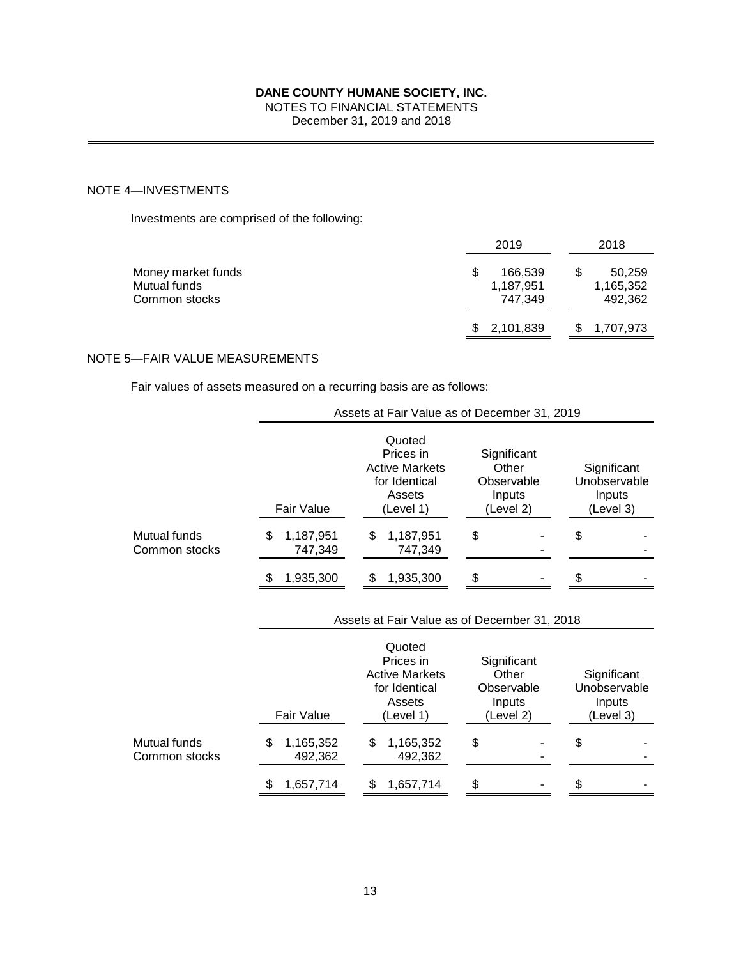## NOTES TO FINANCIAL STATEMENTS

December 31, 2019 and 2018

## NOTE 4—INVESTMENTS

Investments are comprised of the following:

|                                                     | 2019                            | 2018                           |
|-----------------------------------------------------|---------------------------------|--------------------------------|
| Money market funds<br>Mutual funds<br>Common stocks | 166,539<br>1,187,951<br>747.349 | 50,259<br>1,165,352<br>492,362 |
|                                                     | \$2,101,839                     | 1,707,973                      |

## NOTE 5—FAIR VALUE MEASUREMENTS

Fair values of assets measured on a recurring basis are as follows:

|                               | Assets at Fair Value as of December 31, 2019 |                                                                                      |                                                           |                                                    |  |  |
|-------------------------------|----------------------------------------------|--------------------------------------------------------------------------------------|-----------------------------------------------------------|----------------------------------------------------|--|--|
|                               | Fair Value                                   | Quoted<br>Prices in<br><b>Active Markets</b><br>for Identical<br>Assets<br>(Level 1) | Significant<br>Other<br>Observable<br>Inputs<br>(Level 2) | Significant<br>Unobservable<br>Inputs<br>(Level 3) |  |  |
| Mutual funds<br>Common stocks | 1,187,951<br>\$<br>747,349                   | \$<br>1,187,951<br>747,349                                                           | \$                                                        | \$                                                 |  |  |
|                               | 1,935,300                                    | 1,935,300<br>\$                                                                      | \$                                                        | \$                                                 |  |  |
|                               |                                              | Assets at Fair Value as of December 31, 2018                                         |                                                           |                                                    |  |  |
|                               | Fair Value                                   | Quoted<br>Prices in<br><b>Active Markets</b><br>for Identical<br>Assets<br>(Level 1) | Significant<br>Other<br>Observable<br>Inputs<br>(Level 2) | Significant<br>Unobservable<br>Inputs<br>(Level 3) |  |  |
| Mutual funds<br>Common stocks | \$<br>1,165,352<br>492,362                   | \$<br>1,165,352<br>492,362                                                           | \$                                                        | \$                                                 |  |  |
|                               | 1,657,714<br>\$                              | 1,657,714<br>\$                                                                      | \$                                                        | \$                                                 |  |  |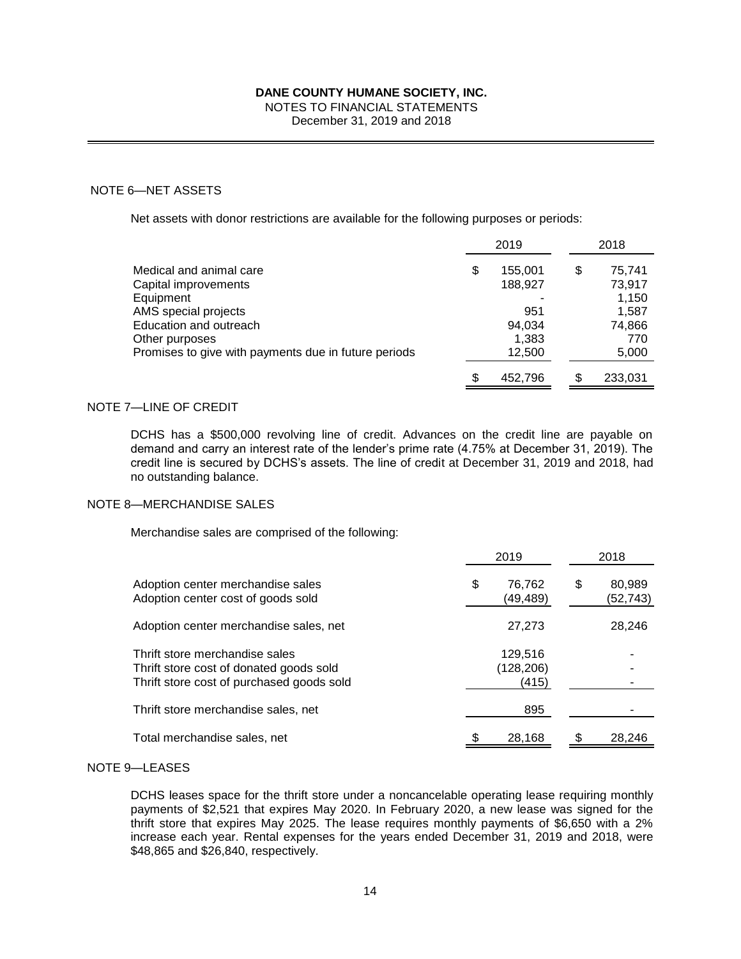NOTES TO FINANCIAL STATEMENTS

December 31, 2019 and 2018

#### NOTE 6—NET ASSETS

Net assets with donor restrictions are available for the following purposes or periods:

|                                                      |    | 2019    | 2018         |
|------------------------------------------------------|----|---------|--------------|
| Medical and animal care                              | S  | 155,001 | \$<br>75,741 |
| Capital improvements                                 |    | 188,927 | 73,917       |
| Equipment                                            |    |         | 1,150        |
| AMS special projects                                 |    | 951     | 1,587        |
| Education and outreach                               |    | 94.034  | 74,866       |
| Other purposes                                       |    | 1,383   | 770          |
| Promises to give with payments due in future periods |    | 12,500  | 5,000        |
|                                                      | S. | 452,796 | 233,031      |

## NOTE 7—LINE OF CREDIT

DCHS has a \$500,000 revolving line of credit. Advances on the credit line are payable on demand and carry an interest rate of the lender's prime rate (4.75% at December 31, 2019). The credit line is secured by DCHS's assets. The line of credit at December 31, 2019 and 2018, had no outstanding balance.

#### NOTE 8—MERCHANDISE SALES

Merchandise sales are comprised of the following:

|                                                                                                                        |   | 2019                           | 2018                      |
|------------------------------------------------------------------------------------------------------------------------|---|--------------------------------|---------------------------|
| Adoption center merchandise sales<br>Adoption center cost of goods sold                                                | S | 76,762<br>(49,489)             | \$<br>80.989<br>(52, 743) |
| Adoption center merchandise sales, net                                                                                 |   | 27,273                         | 28.246                    |
| Thrift store merchandise sales<br>Thrift store cost of donated goods sold<br>Thrift store cost of purchased goods sold |   | 129,516<br>(128, 206)<br>(415) |                           |
| Thrift store merchandise sales, net                                                                                    |   | 895                            |                           |
| Total merchandise sales, net                                                                                           |   | 28,168                         | 28,246                    |

#### NOTE 9—LEASES

DCHS leases space for the thrift store under a noncancelable operating lease requiring monthly payments of \$2,521 that expires May 2020. In February 2020, a new lease was signed for the thrift store that expires May 2025. The lease requires monthly payments of \$6,650 with a 2% increase each year. Rental expenses for the years ended December 31, 2019 and 2018, were \$48,865 and \$26,840, respectively.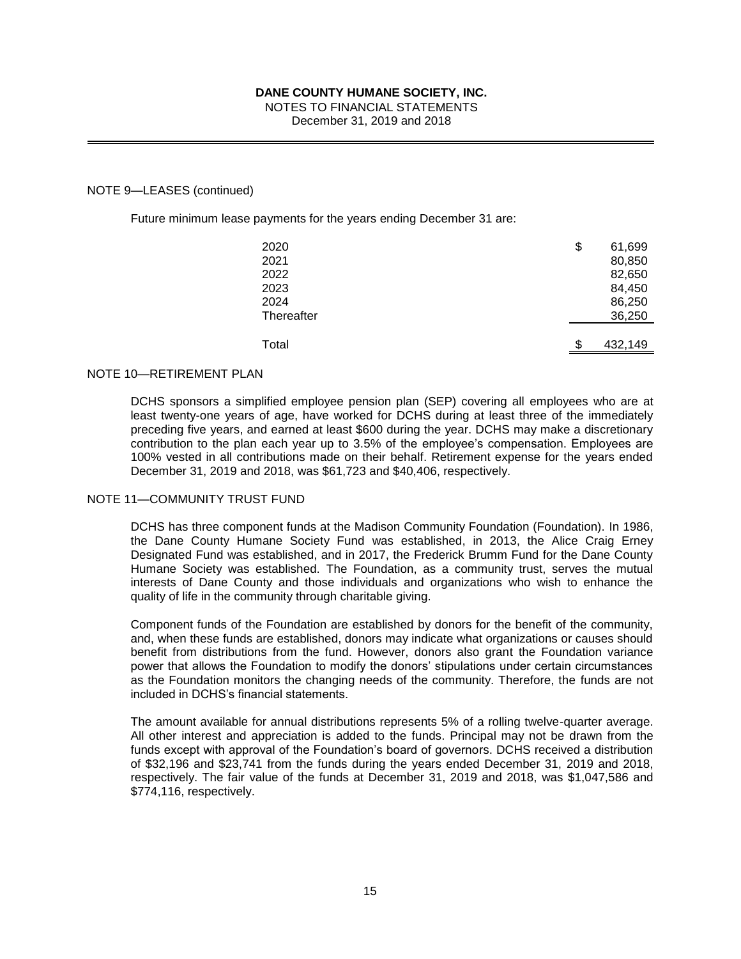# NOTES TO FINANCIAL STATEMENTS

December 31, 2019 and 2018

#### NOTE 9—LEASES (continued)

Future minimum lease payments for the years ending December 31 are:

| 2020<br>2021<br>2022<br>2023<br>2024<br>Thereafter | \$<br>61,699<br>80,850<br>82,650<br>84,450<br>86,250<br>36,250 |
|----------------------------------------------------|----------------------------------------------------------------|
| Total                                              | \$<br>432,149                                                  |

## NOTE 10—RETIREMENT PLAN

DCHS sponsors a simplified employee pension plan (SEP) covering all employees who are at least twenty-one years of age, have worked for DCHS during at least three of the immediately preceding five years, and earned at least \$600 during the year. DCHS may make a discretionary contribution to the plan each year up to 3.5% of the employee's compensation. Employees are 100% vested in all contributions made on their behalf. Retirement expense for the years ended December 31, 2019 and 2018, was \$61,723 and \$40,406, respectively.

#### NOTE 11—COMMUNITY TRUST FUND

DCHS has three component funds at the Madison Community Foundation (Foundation). In 1986, the Dane County Humane Society Fund was established, in 2013, the Alice Craig Erney Designated Fund was established, and in 2017, the Frederick Brumm Fund for the Dane County Humane Society was established. The Foundation, as a community trust, serves the mutual interests of Dane County and those individuals and organizations who wish to enhance the quality of life in the community through charitable giving.

Component funds of the Foundation are established by donors for the benefit of the community, and, when these funds are established, donors may indicate what organizations or causes should benefit from distributions from the fund. However, donors also grant the Foundation variance power that allows the Foundation to modify the donors' stipulations under certain circumstances as the Foundation monitors the changing needs of the community. Therefore, the funds are not included in DCHS's financial statements.

The amount available for annual distributions represents 5% of a rolling twelve-quarter average. All other interest and appreciation is added to the funds. Principal may not be drawn from the funds except with approval of the Foundation's board of governors. DCHS received a distribution of \$32,196 and \$23,741 from the funds during the years ended December 31, 2019 and 2018, respectively. The fair value of the funds at December 31, 2019 and 2018, was \$1,047,586 and \$774,116, respectively.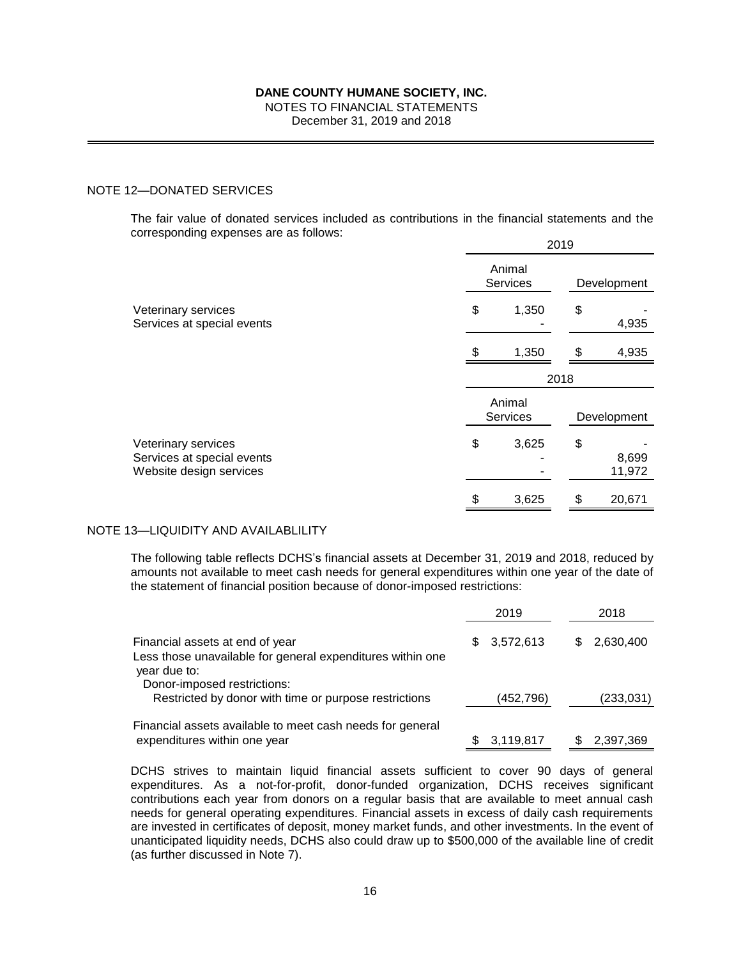NOTES TO FINANCIAL STATEMENTS

December 31, 2019 and 2018

## NOTE 12—DONATED SERVICES

The fair value of donated services included as contributions in the financial statements and the corresponding expenses are as follows: 2019

| Animal<br><b>Services</b> |       | Development |                 |
|---------------------------|-------|-------------|-----------------|
| \$                        | 1,350 | \$          | 4,935           |
| \$                        | 1,350 | \$          | 4,935           |
| 2018                      |       |             |                 |
| Animal<br><b>Services</b> |       | Development |                 |
| \$                        | 3,625 | \$          | 8,699<br>11,972 |
|                           | 3,625 | \$          | 20,671          |
|                           |       |             |                 |

#### NOTE 13—LIQUIDITY AND AVAILABLILITY

The following table reflects DCHS's financial assets at December 31, 2019 and 2018, reduced by amounts not available to meet cash needs for general expenditures within one year of the date of the statement of financial position because of donor-imposed restrictions:

|                                                                                                      | 2019             | 2018             |  |
|------------------------------------------------------------------------------------------------------|------------------|------------------|--|
| Financial assets at end of year<br>Less those unavailable for general expenditures within one        | 3,572,613<br>SS. | 2,630,400<br>\$. |  |
| year due to:<br>Donor-imposed restrictions:<br>Restricted by donor with time or purpose restrictions | (452,796)        | (233, 031)       |  |
| Financial assets available to meet cash needs for general<br>expenditures within one year            | 3,119,817        | 2,397,369        |  |

DCHS strives to maintain liquid financial assets sufficient to cover 90 days of general expenditures. As a not-for-profit, donor-funded organization, DCHS receives significant contributions each year from donors on a regular basis that are available to meet annual cash needs for general operating expenditures. Financial assets in excess of daily cash requirements are invested in certificates of deposit, money market funds, and other investments. In the event of unanticipated liquidity needs, DCHS also could draw up to \$500,000 of the available line of credit (as further discussed in Note 7).